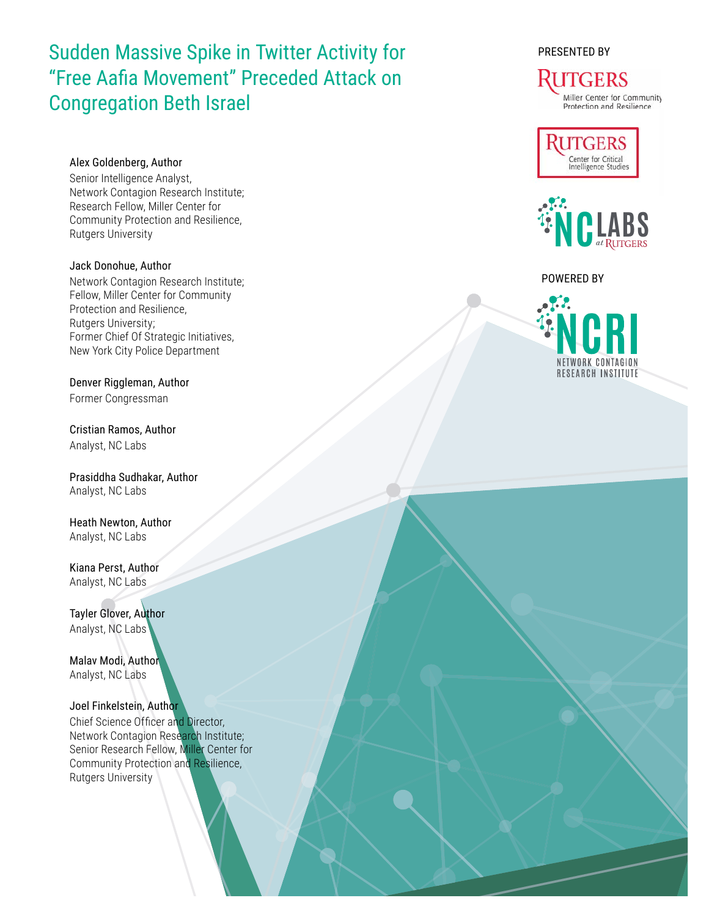# Sudden Massive Spike in Twitter Activity for "Free Aafia Movement" Preceded Attack on Congregation Beth Israel

# Alex Goldenberg, Author

Senior Intelligence Analyst, Network Contagion Research Institute; Research Fellow, Miller Center for Community Protection and Resilience, Rutgers University

Jack Donohue, Author Network Contagion Research Institute; Fellow, Miller Center for Community Protection and Resilience, Rutgers University; Former Chief Of Strategic Initiatives, New York City Police Department

Denver Riggleman, Author Former Congressman

Cristian Ramos, Author Analyst, NC Labs

Prasiddha Sudhakar, Author Analyst, NC Labs

Heath Newton, Author Analyst, NC Labs

Kiana Perst, Author Analyst, NC Labs

Tayler Glover, Author Analyst, NC Labs

Malav Modi, Author Analyst, NC Labs

Joel Finkelstein, Author Chief Science Officer and Director, Network Contagion Research Institute; Senior Research Fellow, Miller Center for Community Protection and Resilience, Rutgers University

PRESENTED BY

#### ITGERS Miller Center for Community Protection and Resilience





### POWERED BY

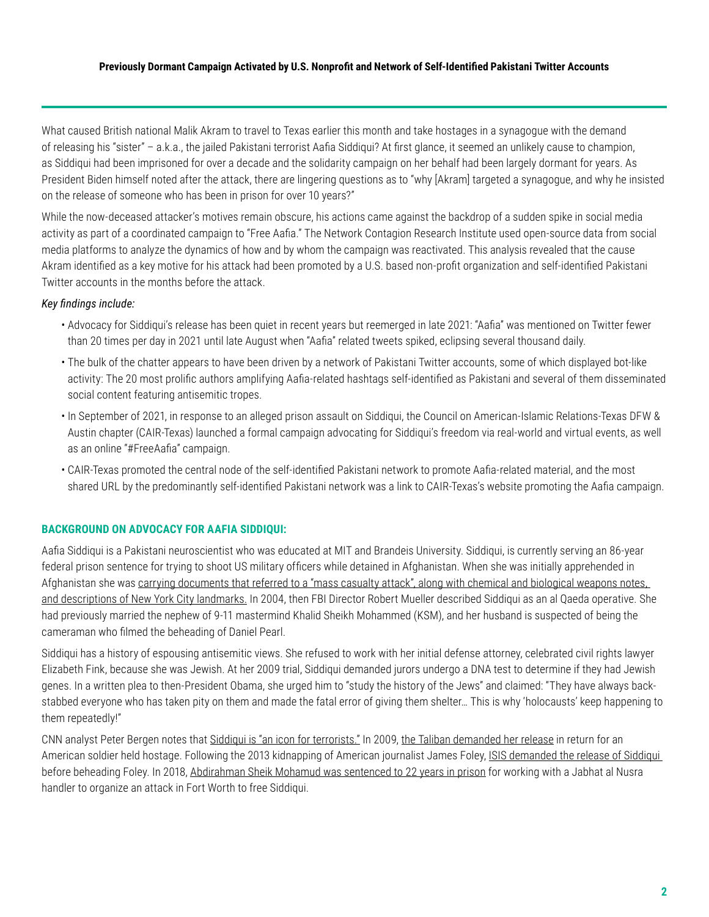What caused British national Malik Akram to travel to Texas earlier this month and take hostages in a synagogue with the demand of releasing his "sister" – a.k.a., the jailed Pakistani terrorist Aafia Siddiqui? At first glance, it seemed an unlikely cause to champion, as Siddiqui had been imprisoned for over a decade and the solidarity campaign on her behalf had been largely dormant for years. As President Biden himself noted after the attack, there are lingering questions as to "why [Akram] targeted a synagogue, and why he insisted on the release of someone who has been in prison for over 10 years?"

While the now-deceased attacker's motives remain obscure, his actions came against the backdrop of a sudden spike in social media activity as part of a coordinated campaign to "Free Aafia." The Network Contagion Research Institute used open-source data from social media platforms to analyze the dynamics of how and by whom the campaign was reactivated. This analysis revealed that the cause Akram identified as a key motive for his attack had been promoted by a U.S. based non-profit organization and self-identified Pakistani Twitter accounts in the months before the attack.

#### *Key findings include:*

- Advocacy for Siddiqui's release has been quiet in recent years but reemerged in late 2021: "Aafia" was mentioned on Twitter fewer than 20 times per day in 2021 until late August when "Aafia" related tweets spiked, eclipsing several thousand daily.
- The bulk of the chatter appears to have been driven by a network of Pakistani Twitter accounts, some of which displayed bot-like activity: The 20 most prolific authors amplifying Aafia-related hashtags self-identified as Pakistani and several of them disseminated social content featuring antisemitic tropes.
- In September of 2021, in response to an alleged prison assault on Siddiqui, the Council on American-Islamic Relations-Texas DFW & Austin chapter (CAIR-Texas) launched a formal campaign advocating for Siddiqui's freedom via real-world and virtual events, as well as an online "#FreeAafia" campaign.
- CAIR-Texas promoted the central node of the self-identified Pakistani network to promote Aafia-related material, and the most shared URL by the predominantly self-identified Pakistani network was a link to CAIR-Texas's website promoting the Aafia campaign.

### **BACKGROUND ON ADVOCACY FOR AAFIA SIDDIQUI:**

Aafia Siddiqui is a Pakistani neuroscientist who was educated at MIT and Brandeis University. Siddiqui, is currently serving an 86-year federal prison sentence for trying to shoot US military officers while detained in Afghanistan. When she was initially apprehended in Afghanistan she was [carrying documents that referred to a "mass casualty attack", along with chemical and biological weapons notes,](https://www.investigativeproject.org/documents/case_docs/654.pdf)  [and descriptions of New York City landmarks.](https://www.investigativeproject.org/documents/case_docs/654.pdf) In 2004, then FBI Director Robert Mueller described Siddiqui as an al Qaeda operative. She had previously married the nephew of 9-11 mastermind Khalid Sheikh Mohammed (KSM), and her husband is suspected of being the cameraman who filmed the beheading of Daniel Pearl.

Siddiqui has a history of espousing antisemitic views. She refused to work with her initial defense attorney, celebrated civil rights lawyer Elizabeth Fink, because she was Jewish. At her 2009 trial, Siddiqui demanded jurors undergo a DNA test to determine if they had Jewish genes. In a written plea to then-President Obama, she urged him to "study the history of the Jews" and claimed: "They have always backstabbed everyone who has taken pity on them and made the fatal error of giving them shelter… This is why 'holocausts' keep happening to them repeatedly!"

CNN analyst Peter Bergen notes that [Siddiqui is "an icon for terrorists."](https://www.cnn.com/2022/01/15/opinions/aafia-saddiqui-terrorism-icon-bergen/index.html) In 2009, [the Taliban demanded her release](https://www.npr.org/2014/08/31/344809425/lady-al-qaida-and-the-business-of-prisoner-swaps) in return for an American soldier held hostage. Following the 2013 kidnapping of American journalist James Foley, ISIS demanded the release of Siddiqui before beheading Foley. In 2018, [Abdirahman Sheik Mohamud was sentenced to 22 years in prison](https://www.fbi.gov/news/stories/ohio-syria-traveler-sentenced-030818) for working with a Jabhat al Nusra handler to organize an attack in Fort Worth to free Siddiqui.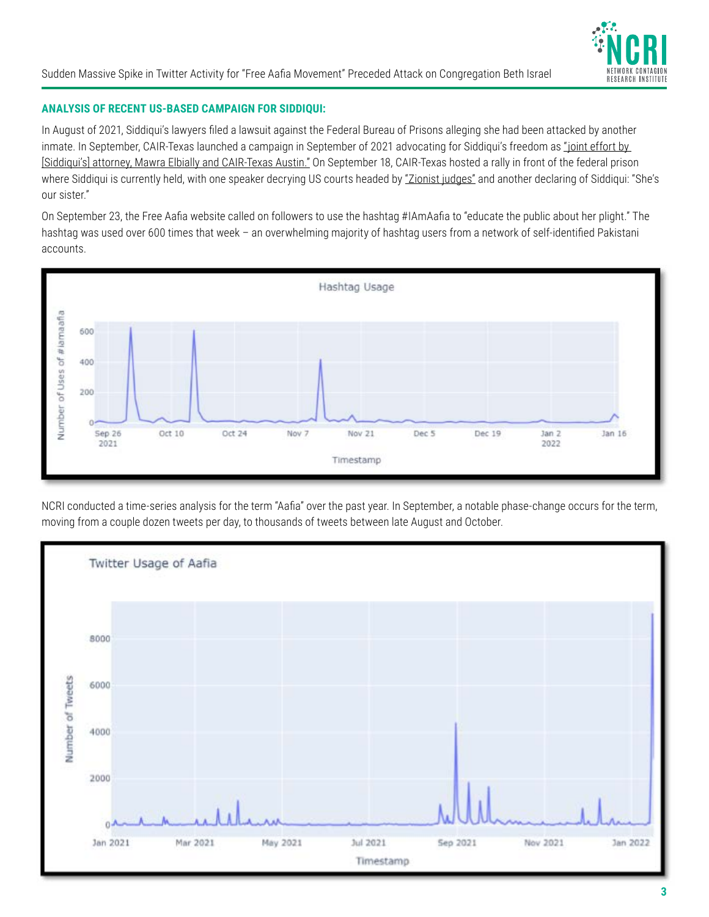

# **ANALYSIS OF RECENT US-BASED CAMPAIGN FOR SIDDIQUI:**

In August of 2021, Siddiqui's lawyers filed a lawsuit against the Federal Bureau of Prisons alleging she had been attacked by another inmate. In September, CAIR-Texas launched a campaign in September of 2021 advocating for Siddiqui's freedom as "joint effort by [\[Siddiqui's\] attorney, Mawra Elbially and CAIR-Texas Austin."](http://freedraafia.org/index.php/get-involved/iamaafia-campaign) On September 18, CAIR-Texas hosted a rally in front of the federal prison where Siddiqui is currently held, with one speaker decrying US courts headed by ["Zionist judges"](https://www.memri.org/tv/cair-rally-aafia-siddiqui-courts-zionist-judges-sham%20trials-omar-suleiman-prominent-scholar) and another declaring of Siddiqui: "She's our sister."

On September 23, the Free Aafia website called on followers to use the hashtag #IAmAafia to "educate the public about her plight." The hashtag was used over 600 times that week – an overwhelming majority of hashtag users from a network of self-identified Pakistani accounts.



NCRI conducted a time-series analysis for the term "Aafia" over the past year. In September, a notable phase-change occurs for the term, moving from a couple dozen tweets per day, to thousands of tweets between late August and October.

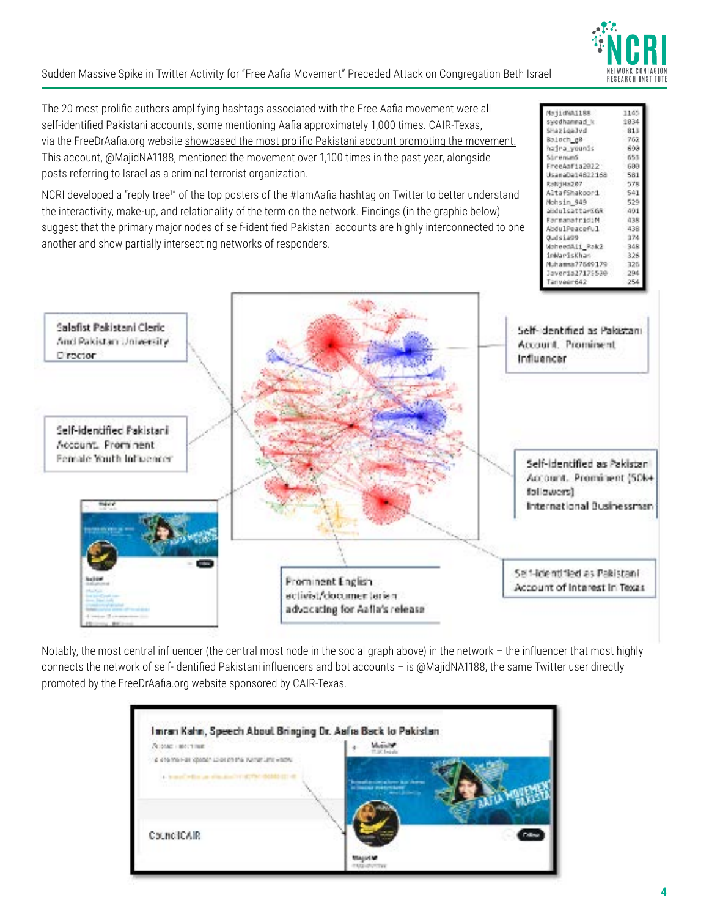

1145 1834

813

762

699

651

699

581

578

541

529

491

438

438

374

348

325

325

294

MajidWA11BB

syedhannad\_k ShaziqaJvd

hadra younis

FreeAaf1a2022

AltafShakoor1

abdulsattarSGR

FarmanatridiM

Abdu1Peaceful

WaheedA11\_Pak2

Muhamsa 77649179

Javer1a27175530

inWarisKhan

UsamaDa14822168

Baloch\_gB

SirenumS

RaN-Ha287

Nohsin 949

Qudsia99

Sudden Massive Spike in Twitter Activity for "Free Aafia Movement" Preceded Attack on Congregation Beth Israel

The 20 most prolific authors amplifying hashtags associated with the Free Aafia movement were all self-identified Pakistani accounts, some mentioning Aafia approximately 1,000 times. CAIR-Texas, via the FreeDrAafia.org website [showcased the most prolific Pakistani account promoting the movement.](http://freedraafia.org/index.php/news-events/27-imran-kahn-speech-about-bringing-dr-aafia-back-to-pakistan) This account, @MajidNA1188, mentioned the movement over 1,100 times in the past year, alongside posts referring to [Israel as a criminal terrorist organization.](https://twitter.com/MajidNA1188/status/1477995865721737216)

NCRI developed a "reply tree<sup>1</sup>" of the top posters of the #IamAafia hashtag on Twitter to better understand the interactivity, make-up, and relationality of the term on the network. Findings (in the graphic below) suggest that the primary major nodes of self-identified Pakistani accounts are highly interconnected to one another and show partially intersecting networks of responders.

| Salafist Pakistani Cleric<br>And Pakistan University<br>D'apoton.            | Self- dentified as Pakistani<br>Account, Prominent<br>Influencer |
|------------------------------------------------------------------------------|------------------------------------------------------------------|
| Self-identified Pakistani-<br>Account. Prominent.<br>Female Youth Influencer | Self-Identified as Pakistani<br>Account. Prominent (50k+         |
| ta e d                                                                       | followers)<br>International Businessman                          |
|                                                                              | Self-Tide ntiffed as Pakistani                                   |

Notably, the most central influencer (the central most node in the social graph above) in the network – the influencer that most highly connects the network of self-identified Pakistani influencers and bot accounts – is @MajidNA1188, the same Twitter user directly promoted by the FreeDrAafia.org website sponsored by CAIR-Texas.

| <b>SCORE HOSTING</b>                                   |                         |  |
|--------------------------------------------------------|-------------------------|--|
| clients that Hall ideosals activities the Washer Links |                         |  |
| a transfer that an alternative                         | <b>Contract Service</b> |  |
|                                                        |                         |  |
|                                                        |                         |  |
| CouncilCAIR.                                           |                         |  |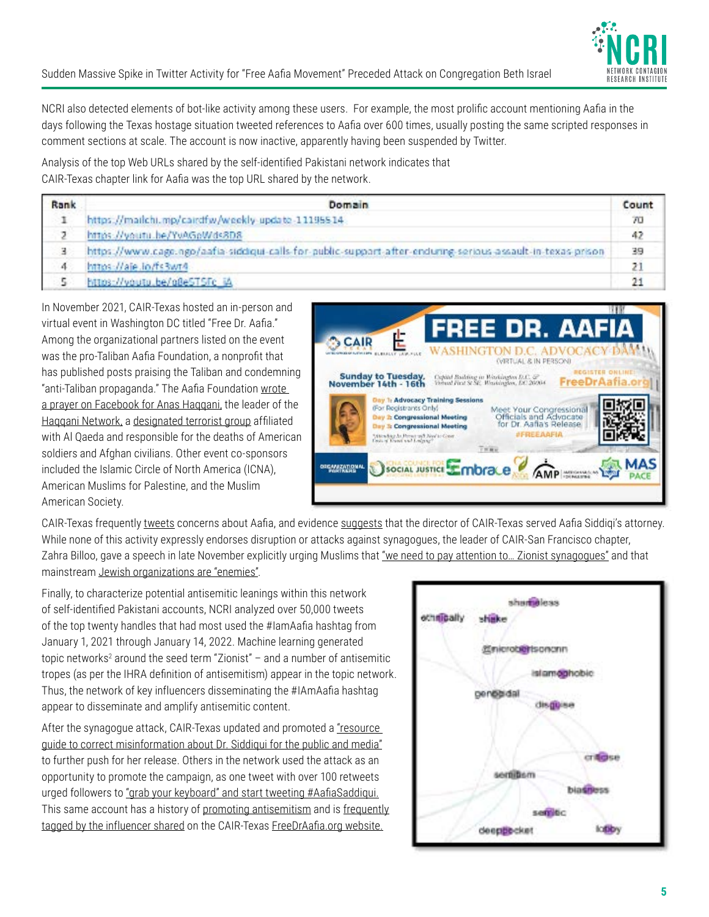

NCRI also detected elements of bot-like activity among these users. For example, the most prolific account mentioning Aafia in the days following the Texas hostage situation tweeted references to Aafia over 600 times, usually posting the same scripted responses in comment sections at scale. The account is now inactive, apparently having been suspended by Twitter.

Analysis of the top Web URLs shared by the self-identified Pakistani network indicates that CAIR-Texas chapter link for Aafia was the top URL shared by the network.

| Rank  | Domain                                                                                                       | Count |
|-------|--------------------------------------------------------------------------------------------------------------|-------|
| -1    | https://mailchi.mp/cairdfw/weekly-update-11195514                                                            | 70    |
|       | https://youtu.be/YuAGoWds8D8                                                                                 | 47    |
| (금) - | https://www.cage.ngo/aafia-siddiqui-calls-for-public-support-after-enduring-serious-assault-in-texas-prison- | 39    |
| 4.    | https://aje.lo/fs3wt4                                                                                        |       |
|       | https://voutu.be/g8e5T5Fc iA                                                                                 |       |

In November 2021, CAIR-Texas hosted an in-person and virtual event in Washington DC titled "Free Dr. Aafia." Among the organizational partners listed on the event was the pro-Taliban Aafia Foundation, a nonprofit that has published posts praising the Taliban and condemning "anti-Taliban propaganda." The Aafia Foundation [wrote](https://www.facebook.com/theaafiafoundation/posts/3105381393017905)  [a prayer on Facebook for Anas Haqqani,](https://www.facebook.com/theaafiafoundation/posts/3105381393017905) the leader of the [Haqqani Network,](https://warontherocks.com/2021/11/the-haqqani-network-afghanistans-new-power-players/) a [designated terrorist group](https://www.state.gov/foreign-terrorist-organizations/) affiliated with Al Qaeda and responsible for the deaths of American soldiers and Afghan civilians. Other event co-sponsors included the Islamic Circle of North America (ICNA), American Muslims for Palestine, and the Muslim American Society.



CAIR-Texas frequently [tweets](https://twitter.com/cairdfw/status/1428365878878294024) concerns about Aafia, and evidence [suggests](https://www.facebook.com/watch/?v=782156888809637) that the director of CAIR-Texas served Aafia Siddiqi's attorney. While none of this activity expressly endorses disruption or attacks against synagogues, the leader of CAIR-San Francisco chapter, Zahra Billoo, gave a speech in late November explicitly urging Muslims that "we need to pay attention to... Zionist synagogues" and that mainstream [Jewish organizations are "enemies".](https://sanfrancisco.adl.org/news/rejecting-a-conspiracy-laden-attack-on-the-jewish-community/)

Finally, to characterize potential antisemitic leanings within this network of self-identified Pakistani accounts, NCRI analyzed over 50,000 tweets of the top twenty handles that had most used the #IamAafia hashtag from January 1, 2021 through January 14, 2022. Machine learning generated topic networks<sup>2</sup> around the seed term "Zionist" – and a number of antisemitic tropes (as per the IHRA definition of antisemitism) appear in the topic network. Thus, the network of key influencers disseminating the #IAmAafia hashtag appear to disseminate and amplify antisemitic content.

After the synagogue attack, CAIR-Texas updated and promoted a ["resource](http://freedraafia.org/index.php/news-events/32-resource-guide-to-correct-misinformation-about-dr-aafia-siddiqui-to-the-media-and-public)  [guide to correct misinformation about Dr. Siddiqui for the public and media"](http://freedraafia.org/index.php/news-events/32-resource-guide-to-correct-misinformation-about-dr-aafia-siddiqui-to-the-media-and-public) to further push for her release. Others in the network used the attack as an opportunity to promote the campaign, as one tweet with over 100 retweets urged followers to ["grab your keyboard" and start tweeting #AafiaSaddiqui.](https://twitter.com/Teamaafia1/status/1482584013638356995) This same account has a history of [promoting antisemitism](https://twitter.com/Teamaafia1/status/1344323807486627849?s=20) and is [frequently](https://twitter.com/MajidNA1188/status/1478404353690152965?s=20) [tagged by the influencer shared](https://twitter.com/MajidNA1188/status/1478404353690152965?s=20) on the CAIR-Texas [FreeDrAafia.org website.](http://freedraafia.org/index.php/news-events/27-imran-kahn-speech-about-bringing-dr-aafia-back-to-pakistan)